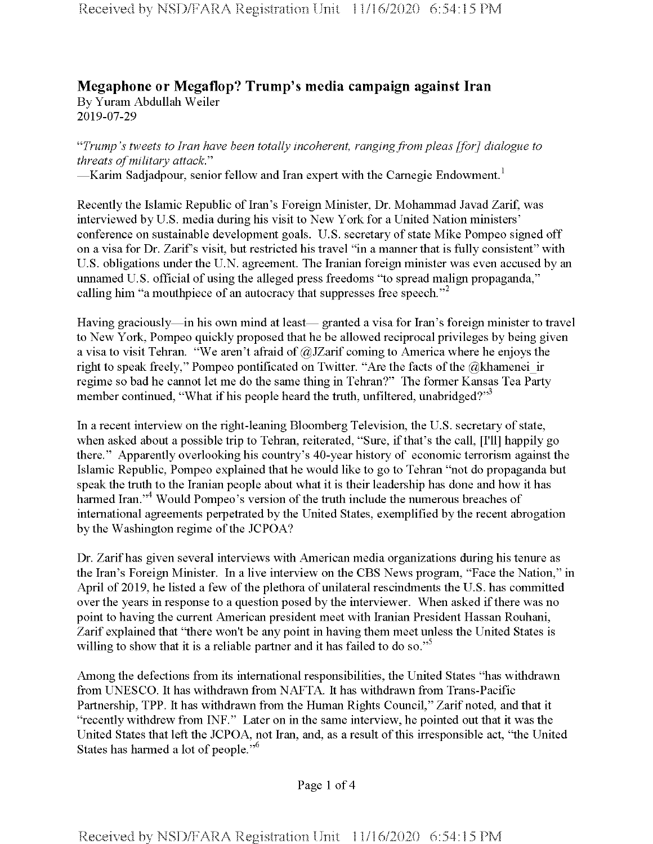## **Megaphone or Megaflop? Trump's media campaign against Iran** By Yuram Abdullah Weiler 2019-07-29

"*Trump's tweets to Iran have been totally incoherent, rangingfrom pleas [for] dialogue to threats ofmilitary attack*."

-Karim Sadjadpour, senior fellow and Iran expert with the Carnegie Endowment.<sup>1</sup>

Recently the Islamic Republic of Iran's Foreign Minister, Dr. Mohammad Javad Zarif, was interviewed by U.S. media during his visit to New York for a United Nation ministers' conference on sustainable development goals. U.S. secretary of state Mike Pompeo signed off on a visa for Dr. Zarif's visit, but restricted his travel "in a manner that is fully consistent" with U.S. obligations under the U.N. agreement. The Iranian foreign minister was even accused by an unnamed U.S. official of using the alleged press freedoms "to spread malign propaganda," calling him "a mouthpiece of an autocracy that suppresses free speech."<sup>2</sup>

Having graciously—in his own mind at least— granted a visa for Iran's foreign minister to travel to New York, Pompeo quickly proposed that he be allowed reciprocal privileges by being given a visa to visit Tehran. "We aren't afraid of @JZarif coming to America where he enjoys the right to speak freely," Pompeo pontificated on Twitter. "Are the facts of the  $@$ khamenei ir regime so bad he cannot let me do the same thing in Tehran?" The former Kansas Tea Party member continued, "What if his people heard the truth, unfiltered, unabridged?"<sup>3</sup>

In a recent interview on the right-leaning Bloomberg Television, the U.S. secretary of state, when asked about a possible trip to Tehran, reiterated, "Sure, if that's the call, [I'll] happily go there." Apparently overlooking his country's 40-year history of economic terrorism against the Islamic Republic, Pompeo explained that he would like to go to Tehran "not do propaganda but speak the truth to the Iranian people about what it is their leadership has done and how it has harmed Iran."<sup>4</sup> Would Pompeo's version of the truth include the numerous breaches of international agreements perpetrated by the United States, exemplified by the recent abrogation by the Washington regime of the JCPOA?

Dr. Zarifhas given several interviews with American media organizations during his tenure as the Iran's Foreign Minister. In a live interview on the CBS News program, "Face the Nation," in April of 2019, he listed a few of the plethora of unilateral rescindments the U.S. has committed over the years in response to a question posed by the interviewer. When asked if there was no point to having the current American president meet with Iranian President Hassan Rouhani, Zarif explained that "there won't be any point in having them meet unless the United States is willing to show that it is a reliable partner and it has failed to do so."<sup>5</sup>

Among the defections from its international responsibilities, the United States "has withdrawn from UNESCO. It has withdrawn from NAFTA. It has withdrawn from Trans-Pacific Partnership, TPP. It has withdrawn from the Human Rights Council," Zarif noted, and that it "recently withdrew from INF." Later on in the same interview, he pointed out that it was the United States that left the JCPOA, not Iran, and, as a result of this irresponsible act, "the United States has harmed a lot of people."<sup>6</sup>

Page <sup>1</sup> of 4

**Received by NSD/FARA Registration Unit** <sup>11</sup>**/**16/2020 6**:**54:15 **PM**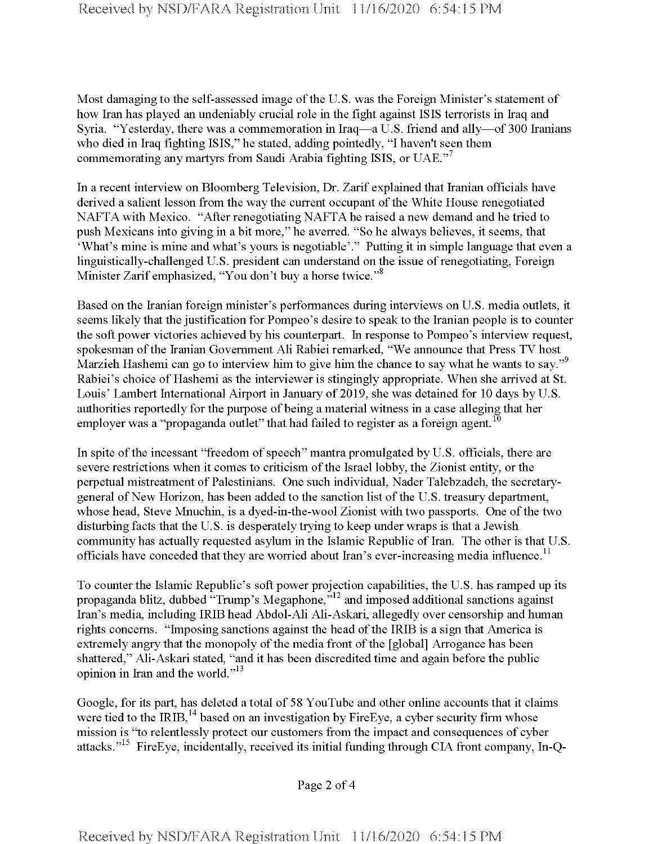Most damaging to the self-assessed image of the U.S. was the Foreign Minister's statement of how Iran has played an undeniably crucial role in the fight against ISIS terrorists in Iraq and Syria. "Yesterday, there was a commemoration in Iraq—a U.S. friend and ally—of 300 Iranians who died in Iraq fighting ISIS," he stated, adding pointedly, "I haven't seen them commemorating any martyrs from Saudi Arabia fighting ISIS, or UAE. $^{7}$ 

In a recent interview on Bloomberg Television, Dr. Zarif explained that Iranian officials have derived a salient lesson from the way the current occupant of the White House renegotiated NAFTA with Mexico. "After renegotiating NAFTA he raised a new demand and he tried to push Mexicans into giving in a bit more," he averred. "So he always believes, it seems, that 'What's mine is mine and what's yours is negotiable'." Putting it in simple language that even a linguistically-challenged U.S. president can understand on the issue of renegotiating, Foreign Minister Zarif emphasized, "You don't buy a horse twice."<sup>8</sup>

Based on the Iranian foreign minister's performances during interviews on U.S. media outlets, it seems likely that the justification for Pompeo's desire to speak to the Iranian people is to counter the soft power victories achieved by his counterpart. In response to Pompeo's interview request, spokesman of the Iranian Government Ali Rabiei remarked, "We announce that Press TV host Marzieh Hashemi can go to interview him to give him the chance to say what he wants to say."<sup>9</sup> Rabiei's choice of Hashemi as the interviewer is stingingly appropriate. When she arrived at St. Louis' Lambert International Airport in January of 2019, she was detained for 10 days by U.S. authorities reportedly for the purpose of being a material witness in a case alleging that her employer was a "propaganda outlet" that had failed to register as a foreign agent.<sup>1</sup>

In spite of the incessant "freedom of speech" mantra promulgated by U.S. officials, there are severe restrictions when it comes to criticism of the Israel lobby, the Zionist entity, or the perpetual mistreatment of Palestinians. One such individual, Nader Talebzadeh, the secretarygeneral of New Horizon, has been added to the sanction list of the U.S. treasury department, whose head, Steve Mnuchin, is a dyed-in-the-wool Zionist with two passports. One of the two disturbing facts that the U.S. is desperately trying to keep under wraps is that a Jewish community has actually requested asylum in the Islamic Republic of Iran. The other is that U.S. officials have conceded that they are worried about Iran's ever-increasing media influence.<sup>11</sup>

To counter the Islamic Republic's soft power projection capabilities, the U.S. has ramped up its propaganda blitz, dubbed "Trump's Megaphone," $^{12}$  and imposed additional sanctions against Iran's media, including IRIB head Abdol-Ali Ali-Askari, allegedly over censorship and human rights concerns. "Imposing sanctions against the head of the IRIB is a sign that America is extremely angry that the monopoly of the media front of the [global] Arrogance has been shattered," Ali-Askari stated, "and it has been discredited time and again before the public opinion in Iran and the world."<sup>13</sup>

Google, for its part, has deleted a total of 58 YouTube and other online accounts that it claims were tied to the IRIB, $^{14}$  based on an investigation by FireEye, a cyber security firm whose mission is "to relentlessly protect our customers from the impact and consequences of cyber attacks."<sup>15</sup> FireEye, incidentally, received its initial funding through CIA front company, In-Q-

Page 2 of 4

Received by NSD/FARA Registration **Unit** 11/16/2020 6:54:15 **PM**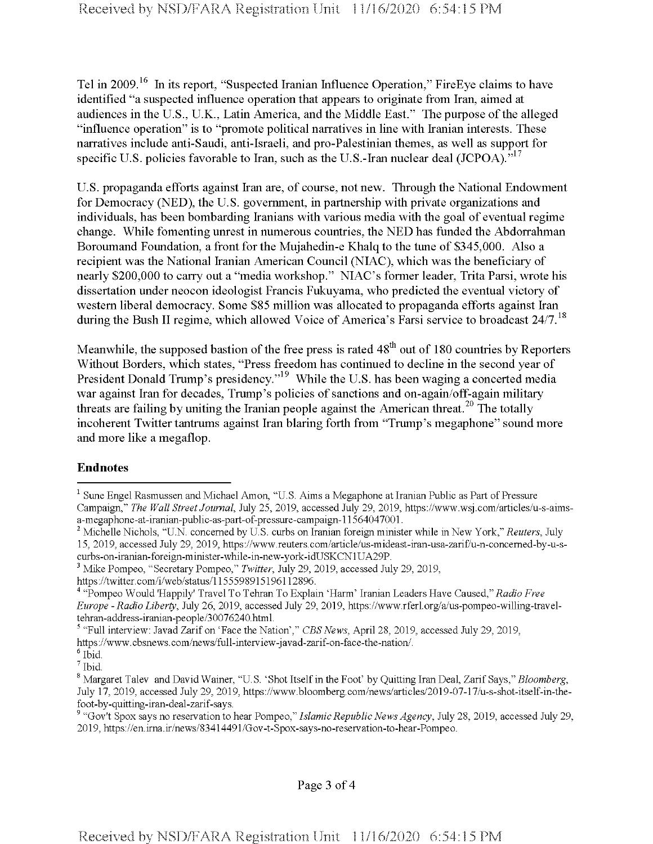Tel in 2009.<sup>16</sup> In its report, "Suspected Iranian Influence Operation," FireEye claims to have identified "a suspected influence operation that appears to originate from Iran, aimed at audiences in the U.S., U.K., Latin America, and the Middle East." The purpose of the alleged "influence operation" is to "promote political narratives in line with Iranian interests. These narratives include anti-Saudi, anti-Israeli, and pro-Palestinian themes, as well as support for specific U.S. policies favorable to Iran, such as the U.S.-Iran nuclear deal (JCPOA). $"$ <sup>17</sup>

U.S. propaganda efforts against Iran are, of course, not new. Through the National Endowment for Democracy (NED), the U.S. government, in partnership with private organizations and individuals, has been bombarding Iranians with various media with the goal of eventual regime change. While fomenting unrest in numerous countries, the NED has funded the Abdorrahman Boroumand Foundation, a front for the Mujahedin-e Khalq to the tune of \$345,000. Also a recipient was the National Iranian American Council (NIAC), which was the beneficiary of nearly \$200,000 to carry out a "media workshop." NIAC's former leader, Trita Parsi, wrote his dissertation under neocon ideologist Francis Fukuyama, who predicted the eventual victory of western liberal democracy. Some \$85 million was allocated to propaganda efforts against Iran during the Bush II regime, which allowed Voice of America's Farsi service to broadcast 24/7.<sup>18</sup>

Meanwhile, the supposed bastion of the free press is rated 48<sup>th</sup> out of 180 countries by Reporters Without Borders, which states, "Press freedom has continued to decline in the second year of President Donald Trump's presidency."<sup>19</sup> While the U.S. has been waging a concerted media war against Iran for decades, Trump's policies of sanctions and on-again/off-again military threats are failing by uniting the Iranian people against the American threat.<sup>20</sup> The totally incoherent Twitter tantrums against Iran blaring forth from "Trump's megaphone" sound more and more like a megaflop.

## **Endnotes**

<sup>&</sup>lt;sup>1</sup> Sune Engel Rasmussen and Michael Amon, "U.S. Aims a Megaphone at Iranian Public as Part of Pressure Campaign," *The Wall StreetJournal,* July 25, 2019, accessed July 29, 2019, https://www.wsj.com/articles/u-s-aimsa-megaphone-at-iranian-public-as-part-of-pressure-campaign-11564047001.

<sup>2</sup> Michelle Nichols, "U.N. concerned by U.S. curbs on Iranian foreign minister while in New York," *Reuters,* July 15, 2019, accessed July 29, 2019, https://www.reuters.com/article/us-mideast-iran-usa-zarif/u-n-concemed-by-u-scurbs-on-iranian-foreign-minister-while-in-new-york-idUSKCNlUA29P.

<sup>3</sup> Mike Pompeo, "Secretary Pompeo," *Twitter,* July 29, 2019, accessed July 29, 2019,

https://twitter.eom/i/web/status/l 155598915196112896.

<sup>4</sup> "Pompeo Would 'Happily' Travel To Tehran To Explain 'Harm' Iranian Leaders Have Caused," *Radio Free Europe - Radio Liberty,* July 26, 2019, accessed July 29, 2019, https://www.rferl.org/a/us-pompeo-willing-traveltehran-address-iranian-people/30076240.html.

<sup>5</sup> "Full interview: Javad Zarif on 'Face the Nation'," *CBSNews,* April 28, 2019, accessed July 29, 2019, https://www.cbsnews.com/news/full-interview-javad-zarif-on-face-the-nation/.

<sup>6</sup> Ibid.

<sup>7</sup> Ibid.

<sup>8</sup> Margaret Talev and David Wainer, "U.S. 'Shot Itself in the Foot' by Quitting Iran Deal, Zarif Says," *Bloomberg,* July 17, 2019, accessed July 29, 2019, https://www.bloomberg.com/news/articles/2019-07-17/u-s-shot-itself-in-thefoot-by-quitting-iran-deal-zarif-says.

<sup>&</sup>lt;sup>9</sup> "Gov't Spox says no reservation to hear Pompeo," *Islamic Republic News Agency*, July 28, 2019, accessed July 29, 2019, https://en.irna.ir/news/83414491/Gov-t-Spox-says-no-reservation-to-hear-Pompeo.